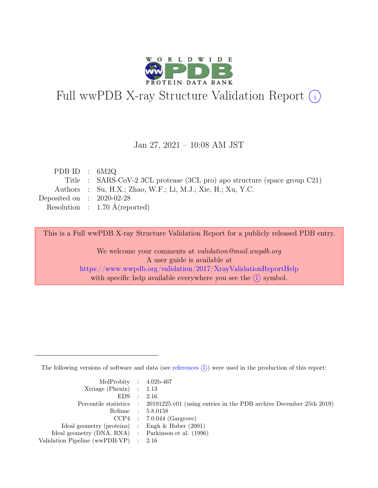

# Full wwPDB X-ray Structure Validation Report  $(i)$

#### Jan 27, 2021 – 10:08 AM JST

| PDB ID : $6M2Q$             |                                                                           |
|-----------------------------|---------------------------------------------------------------------------|
|                             | Title : SARS-CoV-2 3CL protease (3CL pro) apo structure (space group C21) |
|                             | Authors : Su, H.X.; Zhao, W.F.; Li, M.J.; Xie, H.; Xu, Y.C.               |
| Deposited on : $2020-02-28$ |                                                                           |
|                             | Resolution : $1.70 \text{ Å}$ (reported)                                  |
|                             |                                                                           |

This is a Full wwPDB X-ray Structure Validation Report for a publicly released PDB entry.

We welcome your comments at validation@mail.wwpdb.org A user guide is available at <https://www.wwpdb.org/validation/2017/XrayValidationReportHelp> with specific help available everywhere you see the  $(i)$  symbol.

The following versions of software and data (see [references](https://www.wwpdb.org/validation/2017/XrayValidationReportHelp#references)  $(i)$ ) were used in the production of this report:

| MolProbity : $4.02b-467$                            |                                                                                            |
|-----------------------------------------------------|--------------------------------------------------------------------------------------------|
| $Xtriangle (Phenix)$ : 1.13                         |                                                                                            |
| EDS : 2.16                                          |                                                                                            |
|                                                     | Percentile statistics : 20191225.v01 (using entries in the PDB archive December 25th 2019) |
|                                                     | Refmac : 5.8.0158                                                                          |
|                                                     | $CCP4$ : 7.0.044 (Gargrove)                                                                |
| Ideal geometry (proteins) : Engh $\&$ Huber (2001)  |                                                                                            |
| Ideal geometry (DNA, RNA) : Parkinson et al. (1996) |                                                                                            |
| Validation Pipeline (wwPDB-VP) : 2.16               |                                                                                            |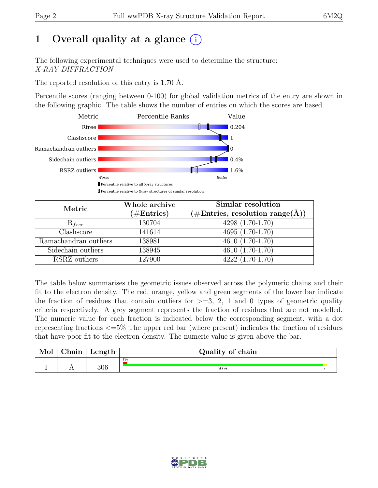# 1 Overall quality at a glance  $(i)$

The following experimental techniques were used to determine the structure: X-RAY DIFFRACTION

The reported resolution of this entry is 1.70 Å.

Percentile scores (ranging between 0-100) for global validation metrics of the entry are shown in the following graphic. The table shows the number of entries on which the scores are based.



| <b>The comment channel to A-ray su actures or simmal resolution</b> |  |  |  |
|---------------------------------------------------------------------|--|--|--|
|                                                                     |  |  |  |
|                                                                     |  |  |  |
|                                                                     |  |  |  |

| Metric                    | Whole archive        | Similar resolution                                           |
|---------------------------|----------------------|--------------------------------------------------------------|
|                           | $(\#\text{Entries})$ | $(\# \text{Entries}, \text{ resolution } \text{range}(\AA))$ |
| $R_{free}$                | 130704               | $4298(1.70-1.70)$                                            |
| $\overline{\text{Class}}$ | 141614               | $4695(1.70-1.70)$                                            |
| Ramachandran outliers     | 138981               | 4610 (1.70-1.70)                                             |
| Sidechain outliers        | 138945               | $4610(1.70-1.70)$                                            |
| RSRZ outliers             | 127900               | $4222(1.70-1.70)$                                            |

The table below summarises the geometric issues observed across the polymeric chains and their fit to the electron density. The red, orange, yellow and green segments of the lower bar indicate the fraction of residues that contain outliers for  $>=$  3, 2, 1 and 0 types of geometric quality criteria respectively. A grey segment represents the fraction of residues that are not modelled. The numeric value for each fraction is indicated below the corresponding segment, with a dot representing fractions <=5% The upper red bar (where present) indicates the fraction of residues that have poor fit to the electron density. The numeric value is given above the bar.

| Mol | $\sim$ $\sim$<br>hain | Length | Quality of chain |
|-----|-----------------------|--------|------------------|
|     |                       |        | 2%               |
|     | $\overline{ }$        | 306    | 97%              |

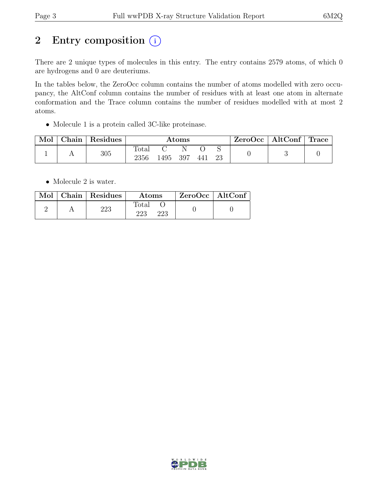# 2 Entry composition  $(i)$

There are 2 unique types of molecules in this entry. The entry contains 2579 atoms, of which 0 are hydrogens and 0 are deuteriums.

In the tables below, the ZeroOcc column contains the number of atoms modelled with zero occupancy, the AltConf column contains the number of residues with at least one atom in alternate conformation and the Trace column contains the number of residues modelled with at most 2 atoms.

• Molecule 1 is a protein called 3C-like proteinase.

| Mol | Chain | Residues | $\rm{Atoms}$           |      |          |     |    | ZeroOcc | $\vert$ AltConf $\vert$ | $\mid$ Trace $\mid$ |
|-----|-------|----------|------------------------|------|----------|-----|----|---------|-------------------------|---------------------|
|     |       | 305      | $\text{Total}$<br>2356 | 1495 | N<br>397 | 441 | 23 |         |                         |                     |

• Molecule 2 is water.

|  | $\boxed{\text{Mol}}$ Chain   Residues | <b>Atoms</b>        | ZeroOcc   AltConf |  |
|--|---------------------------------------|---------------------|-------------------|--|
|  | 223                                   | Total<br>223<br>223 |                   |  |

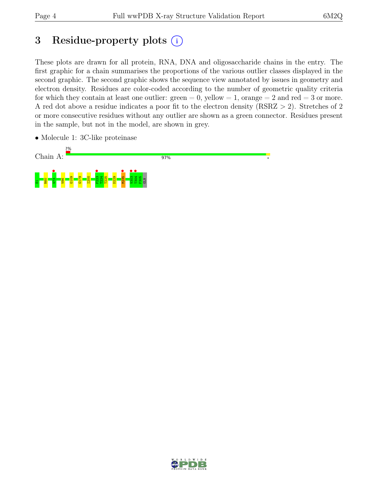## 3 Residue-property plots  $(i)$

These plots are drawn for all protein, RNA, DNA and oligosaccharide chains in the entry. The first graphic for a chain summarises the proportions of the various outlier classes displayed in the second graphic. The second graphic shows the sequence view annotated by issues in geometry and electron density. Residues are color-coded according to the number of geometric quality criteria for which they contain at least one outlier:  $green = 0$ , yellow  $= 1$ , orange  $= 2$  and red  $= 3$  or more. A red dot above a residue indicates a poor fit to the electron density (RSRZ > 2). Stretches of 2 or more consecutive residues without any outlier are shown as a green connector. Residues present in the sample, but not in the model, are shown in grey.

• Molecule 1: 3C-like proteinase



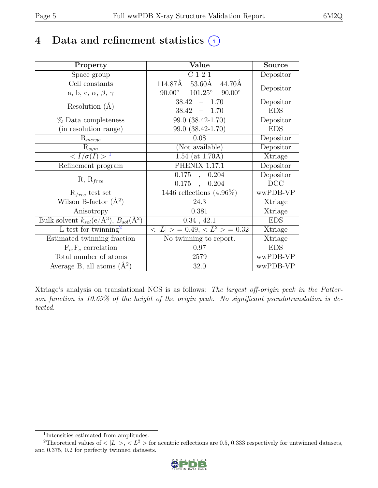## 4 Data and refinement statistics  $(i)$

| Property                                                             | Value                                              | <b>Source</b> |
|----------------------------------------------------------------------|----------------------------------------------------|---------------|
| Space group                                                          | $\overline{C}$ 1 2 1                               | Depositor     |
| Cell constants                                                       | 114.87Å<br>$53.60\text{\AA}$<br>44.70Å             |               |
| a, b, c, $\alpha$ , $\beta$ , $\gamma$                               | $101.25^\circ$<br>$90.00^\circ$<br>$90.00^{\circ}$ | Depositor     |
| Resolution $(A)$                                                     | 38.42<br>$-1.70$                                   | Depositor     |
|                                                                      | 38.42<br>$-1.70$                                   | <b>EDS</b>    |
| % Data completeness                                                  | 99.0 (38.42-1.70)                                  | Depositor     |
| (in resolution range)                                                | 99.0 (38.42-1.70)                                  | <b>EDS</b>    |
| $R_{merge}$                                                          | 0.08                                               | Depositor     |
| $\mathrm{R}_{sym}$                                                   | (Not available)                                    | Depositor     |
| $\langle I/\sigma(I)\rangle^{-1}$                                    | $1.54$ (at 1.70Å)                                  | Xtriage       |
| Refinement program                                                   | <b>PHENIX 1.17.1</b>                               | Depositor     |
|                                                                      | 0.175<br>, 0.204                                   | Depositor     |
| $R, R_{free}$                                                        | $0.175$ ,<br>0.204                                 | DCC           |
| $R_{free}$ test set                                                  | 1446 reflections $(4.96\%)$                        | wwPDB-VP      |
| Wilson B-factor $(A^2)$                                              | 24.3                                               | Xtriage       |
| Anisotropy                                                           | 0.381                                              | Xtriage       |
| Bulk solvent $k_{sol}(e/\mathring{A}^3)$ , $B_{sol}(\mathring{A}^2)$ | $0.34$ , 42.1                                      | <b>EDS</b>    |
| L-test for twinning <sup>2</sup>                                     | $< L >$ = 0.49, $< L^2 >$ = 0.32                   | Xtriage       |
| Estimated twinning fraction                                          | No twinning to report.                             | Xtriage       |
| $\overline{F_o,F_c}$ correlation                                     | 0.97                                               | <b>EDS</b>    |
| Total number of atoms                                                | 2579                                               | wwPDB-VP      |
| Average B, all atoms $(A^2)$                                         | 32.0                                               | wwPDB-VP      |

Xtriage's analysis on translational NCS is as follows: The largest off-origin peak in the Patterson function is 10.69% of the height of the origin peak. No significant pseudotranslation is detected.

<sup>&</sup>lt;sup>2</sup>Theoretical values of  $\langle |L| \rangle$ ,  $\langle L^2 \rangle$  for acentric reflections are 0.5, 0.333 respectively for untwinned datasets, and 0.375, 0.2 for perfectly twinned datasets.



<span id="page-4-1"></span><span id="page-4-0"></span><sup>1</sup> Intensities estimated from amplitudes.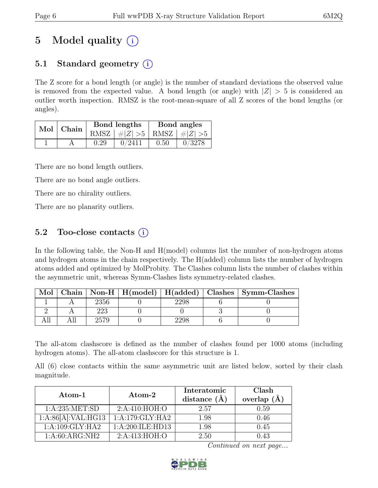# 5 Model quality  $(i)$

### 5.1 Standard geometry  $(i)$

The Z score for a bond length (or angle) is the number of standard deviations the observed value is removed from the expected value. A bond length (or angle) with  $|Z| > 5$  is considered an outlier worth inspection. RMSZ is the root-mean-square of all Z scores of the bond lengths (or angles).

| Mol | <sup>'</sup> Chain |      | Bond lengths                    | Bond angles |        |  |
|-----|--------------------|------|---------------------------------|-------------|--------|--|
|     |                    |      | RMSZ $ #Z  > 5$ RMSZ $ #Z  > 5$ |             |        |  |
|     |                    | 0.29 | 0/2411                          | 0.50        | 0/3278 |  |

There are no bond length outliers.

There are no bond angle outliers.

There are no chirality outliers.

There are no planarity outliers.

### 5.2 Too-close contacts  $(i)$

In the following table, the Non-H and H(model) columns list the number of non-hydrogen atoms and hydrogen atoms in the chain respectively. The H(added) column lists the number of hydrogen atoms added and optimized by MolProbity. The Clashes column lists the number of clashes within the asymmetric unit, whereas Symm-Clashes lists symmetry-related clashes.

| Mol |      |  | Chain   Non-H   H(model)   H(added)   Clashes   Symm-Clashes |
|-----|------|--|--------------------------------------------------------------|
|     | 2356 |  |                                                              |
|     |      |  |                                                              |
|     |      |  |                                                              |

The all-atom clashscore is defined as the number of clashes found per 1000 atoms (including hydrogen atoms). The all-atom clashscore for this structure is 1.

All (6) close contacts within the same asymmetric unit are listed below, sorted by their clash magnitude.

| $Atom-1$           | Atom-2           | Interatomic<br>distance $(\AA)$ | Clash<br>overlap $(\AA)$ |
|--------------------|------------------|---------------------------------|--------------------------|
| 1: A:235: MET:SD   | 2:A:410:HOH:O    | 2.57                            | 0.59                     |
| 1:A:86[A]:VAL:HG13 | 1:A:179:GLY:HA2  | 1.98                            | 0.46                     |
| 1:A:109:GLY:HA2    | 1:A:200:ILE:HD13 | 1.98                            | 0.45                     |
| 1:A:60:ARG:NH2     | 2: A:413: HOH:O  | 2.50                            | 0.43                     |

Continued on next page...

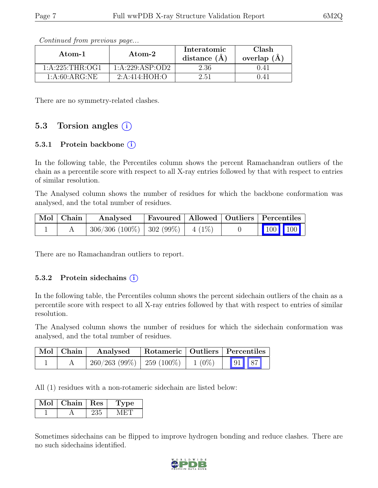| Atom-1           | $\bold{Atom\text{-}2}$ | Interatomic<br>distance $(\AA)$ | Clash<br>overlap $(\AA)$ |  |
|------------------|------------------------|---------------------------------|--------------------------|--|
| 1: A:225:THR:OG1 | 1:A:229:ASP:OD2        | 2.36                            |                          |  |
| 1: A:60: ARG:NE  | 2: A:414: HOH:O        | 2.51                            |                          |  |

Continued from previous page...

There are no symmetry-related clashes.

### 5.3 Torsion angles  $(i)$

#### 5.3.1 Protein backbone  $(i)$

In the following table, the Percentiles column shows the percent Ramachandran outliers of the chain as a percentile score with respect to all X-ray entries followed by that with respect to entries of similar resolution.

The Analysed column shows the number of residues for which the backbone conformation was analysed, and the total number of residues.

| Mol   Chain | Analysed                              | Favoured   Allowed   Outliers   Percentiles |  |                                                                                                                                      |  |
|-------------|---------------------------------------|---------------------------------------------|--|--------------------------------------------------------------------------------------------------------------------------------------|--|
|             | $306/306$ (100%)   302 (99%)   4 (1%) |                                             |  | $\begin{array}{ c c c c c }\n\hline\n\multicolumn{1}{ c }{\hspace{1.2cm}100} & \multicolumn{1}{ c }{\hspace{1.2cm}100}\n\end{array}$ |  |

There are no Ramachandran outliers to report.

#### 5.3.2 Protein sidechains  $(i)$

In the following table, the Percentiles column shows the percent sidechain outliers of the chain as a percentile score with respect to all X-ray entries followed by that with respect to entries of similar resolution.

The Analysed column shows the number of residues for which the sidechain conformation was analysed, and the total number of residues.

| $\vert$ Mol $\vert$ Chain $\vert$ | Analysed                              |  | Rotameric   Outliers   Percentiles |  |
|-----------------------------------|---------------------------------------|--|------------------------------------|--|
|                                   | $260/263$ (99%)   259 (100%)   1 (0%) |  | 91 87                              |  |

All (1) residues with a non-rotameric sidechain are listed below:

| $Chain +$ | <b>Res</b> | рe |
|-----------|------------|----|
|           |            |    |

Sometimes sidechains can be flipped to improve hydrogen bonding and reduce clashes. There are no such sidechains identified.

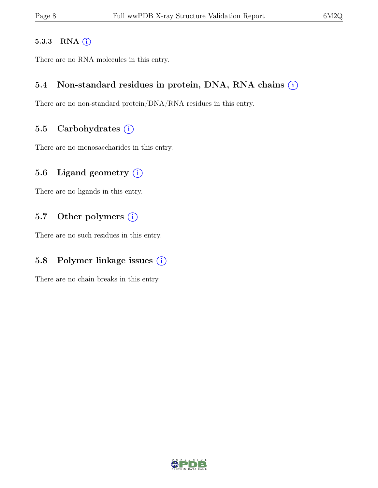#### 5.3.3 RNA  $(i)$

There are no RNA molecules in this entry.

#### 5.4 Non-standard residues in protein, DNA, RNA chains  $(i)$

There are no non-standard protein/DNA/RNA residues in this entry.

#### 5.5 Carbohydrates  $(i)$

There are no monosaccharides in this entry.

### 5.6 Ligand geometry  $(i)$

There are no ligands in this entry.

#### 5.7 Other polymers  $(i)$

There are no such residues in this entry.

### 5.8 Polymer linkage issues  $(i)$

There are no chain breaks in this entry.